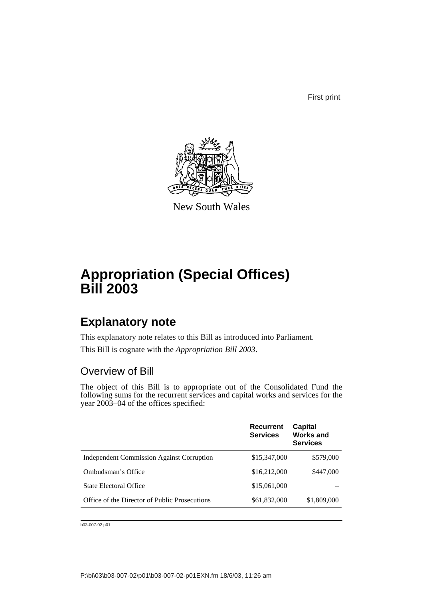First print



New South Wales

# **Appropriation (Special Offices) Bill 2003**

## **Explanatory note**

This explanatory note relates to this Bill as introduced into Parliament. This Bill is cognate with the *Appropriation Bill 2003*.

## Overview of Bill

The object of this Bill is to appropriate out of the Consolidated Fund the following sums for the recurrent services and capital works and services for the year 2003–04 of the offices specified:

|                                                  | Recurrent<br><b>Services</b> | <b>Capital</b><br><b>Works and</b><br><b>Services</b> |
|--------------------------------------------------|------------------------------|-------------------------------------------------------|
| <b>Independent Commission Against Corruption</b> | \$15,347,000                 | \$579,000                                             |
| Ombudsman's Office                               | \$16,212,000                 | \$447,000                                             |
| State Electoral Office                           | \$15,061,000                 |                                                       |
| Office of the Director of Public Prosecutions    | \$61,832,000                 | \$1,809,000                                           |
|                                                  |                              |                                                       |

b03-007-02.p01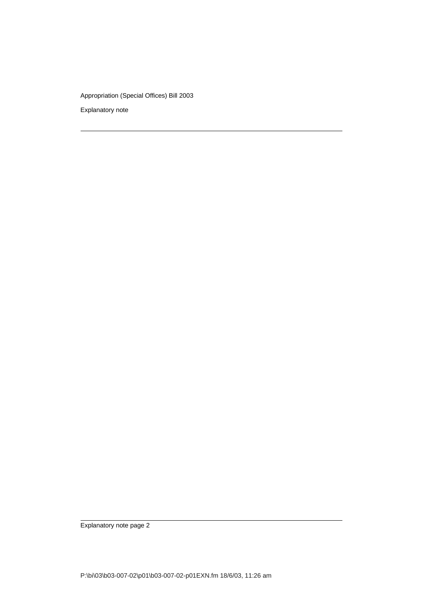Appropriation (Special Offices) Bill 2003

Explanatory note

Explanatory note page 2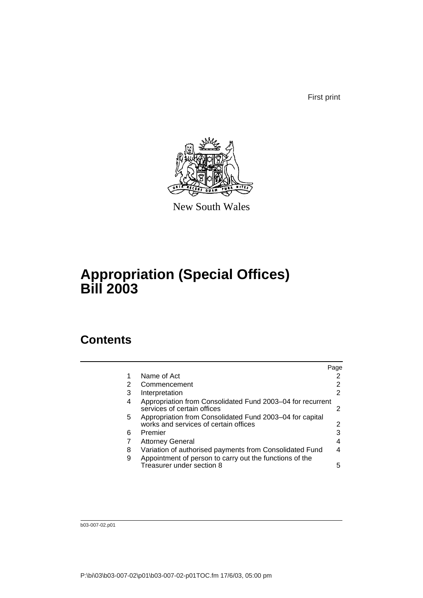First print



New South Wales

## **Appropriation (Special Offices) Bill 2003**

## **Contents**

|    |                                                                                                   | Page |
|----|---------------------------------------------------------------------------------------------------|------|
|    | Name of Act                                                                                       | 2    |
| 2  | Commencement                                                                                      | 2    |
| 3  | Interpretation                                                                                    | 2    |
| 4  | Appropriation from Consolidated Fund 2003-04 for recurrent<br>services of certain offices         | 2    |
| 5. | Appropriation from Consolidated Fund 2003-04 for capital<br>works and services of certain offices | 2    |
| 6  | Premier                                                                                           | 3    |
|    | <b>Attorney General</b>                                                                           | 4    |
| 8  | Variation of authorised payments from Consolidated Fund                                           | 4    |
| 9  | Appointment of person to carry out the functions of the<br>Treasurer under section 8              | 5    |

b03-007-02.p01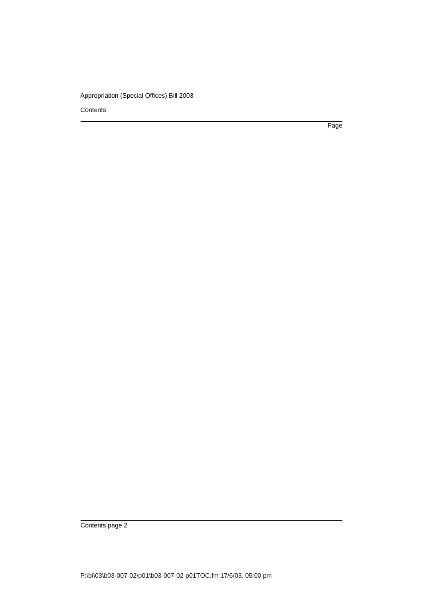## Appropriation (Special Offices) Bill 2003

**Contents** 

Page

Contents page 2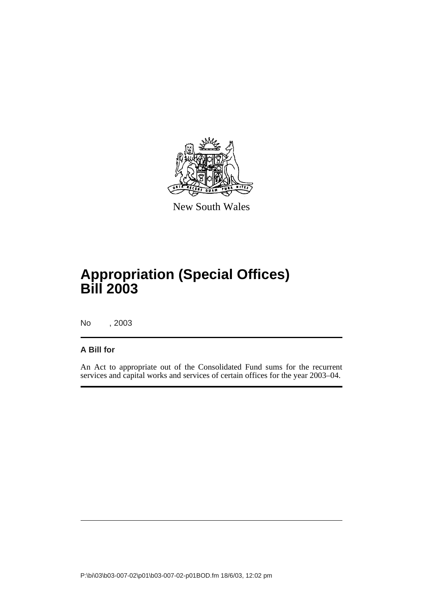

New South Wales

# **Appropriation (Special Offices) Bill 2003**

No , 2003

### **A Bill for**

An Act to appropriate out of the Consolidated Fund sums for the recurrent services and capital works and services of certain offices for the year 2003–04.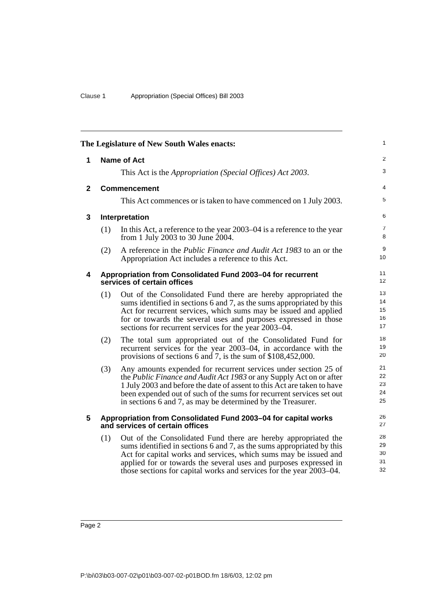<span id="page-5-4"></span><span id="page-5-3"></span><span id="page-5-2"></span><span id="page-5-1"></span><span id="page-5-0"></span>

| The Legislature of New South Wales enacts: |                    |                                                                                                                                                                                                                                                                                                                                                          | $\mathbf{1}$               |
|--------------------------------------------|--------------------|----------------------------------------------------------------------------------------------------------------------------------------------------------------------------------------------------------------------------------------------------------------------------------------------------------------------------------------------------------|----------------------------|
| 1                                          | <b>Name of Act</b> |                                                                                                                                                                                                                                                                                                                                                          |                            |
|                                            |                    | This Act is the <i>Appropriation (Special Offices) Act 2003</i> .                                                                                                                                                                                                                                                                                        | 3                          |
| 2                                          |                    | <b>Commencement</b>                                                                                                                                                                                                                                                                                                                                      | 4                          |
|                                            |                    | This Act commences or is taken to have commenced on 1 July 2003.                                                                                                                                                                                                                                                                                         | 5                          |
| 3                                          |                    | Interpretation                                                                                                                                                                                                                                                                                                                                           | 6                          |
|                                            | (1)                | In this Act, a reference to the year 2003–04 is a reference to the year<br>from 1 July 2003 to 30 June 2004.                                                                                                                                                                                                                                             | $\overline{7}$<br>8        |
|                                            | (2)                | A reference in the <i>Public Finance and Audit Act 1983</i> to an or the<br>Appropriation Act includes a reference to this Act.                                                                                                                                                                                                                          | 9<br>10 <sup>1</sup>       |
| 4                                          |                    | Appropriation from Consolidated Fund 2003-04 for recurrent<br>services of certain offices                                                                                                                                                                                                                                                                | 11<br>12 <sup>2</sup>      |
|                                            | (1)                | Out of the Consolidated Fund there are hereby appropriated the<br>sums identified in sections 6 and 7, as the sums appropriated by this<br>Act for recurrent services, which sums may be issued and applied<br>for or towards the several uses and purposes expressed in those<br>sections for recurrent services for the year 2003–04.                  | 13<br>14<br>15<br>16<br>17 |
|                                            | (2)                | The total sum appropriated out of the Consolidated Fund for<br>recurrent services for the year 2003–04, in accordance with the<br>provisions of sections 6 and 7, is the sum of \$108,452,000.                                                                                                                                                           | 18<br>19<br>20             |
|                                            | (3)                | Any amounts expended for recurrent services under section 25 of<br>the Public Finance and Audit Act 1983 or any Supply Act on or after<br>1 July 2003 and before the date of assent to this Act are taken to have<br>been expended out of such of the sums for recurrent services set out<br>in sections 6 and 7, as may be determined by the Treasurer. | 21<br>22<br>23<br>24<br>25 |
| 5                                          |                    | Appropriation from Consolidated Fund 2003-04 for capital works<br>and services of certain offices                                                                                                                                                                                                                                                        | 26<br>27                   |
|                                            | (1)                | Out of the Consolidated Fund there are hereby appropriated the<br>sums identified in sections 6 and 7, as the sums appropriated by this<br>Act for capital works and services, which sums may be issued and<br>applied for or towards the several uses and purposes expressed in<br>those sections for capital works and services for the year 2003–04.  | 28<br>29<br>30<br>31<br>32 |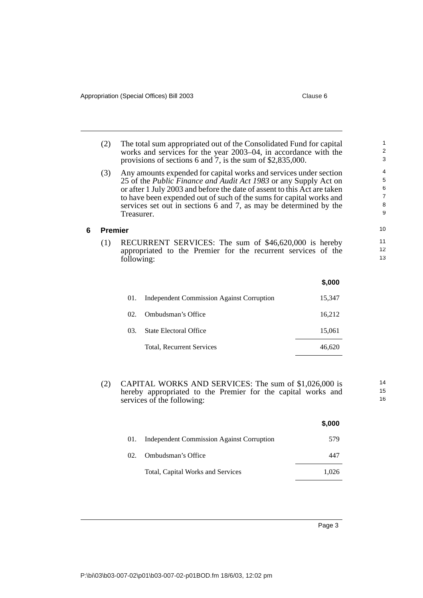- (2) The total sum appropriated out of the Consolidated Fund for capital works and services for the year 2003–04, in accordance with the provisions of sections 6 and 7, is the sum of \$2,835,000. (3) Any amounts expended for capital works and services under section 25 of the *Public Finance and Audit Act 1983* or any Supply Act on or after 1 July 2003 and before the date of assent to this Act are taken to have been expended out of such of the sums for capital works and services set out in sections 6 and 7, as may be determined by the Treasurer. **6 Premier** 1  $\overline{2}$ 3 4 5 6 7 8 9 10
	- (1) RECURRENT SERVICES: The sum of \$46,620,000 is hereby appropriated to the Premier for the recurrent services of the following:

<span id="page-6-0"></span>

|     |                                                  | \$,000 |
|-----|--------------------------------------------------|--------|
| 01. | <b>Independent Commission Against Corruption</b> | 15,347 |
| 02. | Ombudsman's Office                               | 16,212 |
| 03. | State Electoral Office                           | 15,061 |
|     | Total, Recurrent Services                        | 46.620 |
|     |                                                  |        |

(2) CAPITAL WORKS AND SERVICES: The sum of \$1,026,000 is hereby appropriated to the Premier for the capital works and services of the following:

|                                               | \$,000 |
|-----------------------------------------------|--------|
| 01. Independent Commission Against Corruption | 579    |
| 02. Ombudsman's Office                        | 44 1   |
| Total, Capital Works and Services             | 1.026  |

11 12

13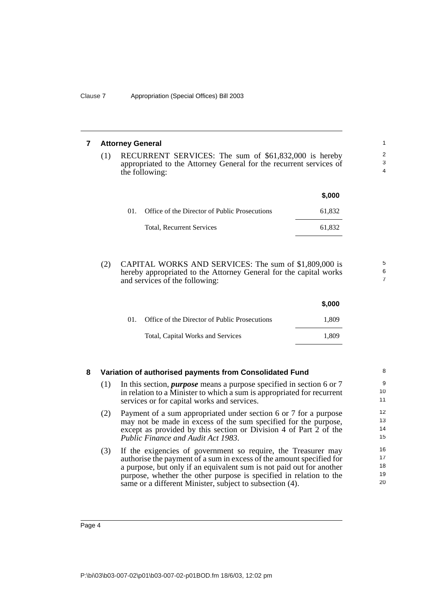#### <span id="page-7-0"></span>**7 Attorney General**

(1) RECURRENT SERVICES: The sum of \$61,832,000 is hereby appropriated to the Attorney General for the recurrent services of the following:

|                                               | \$,000 |
|-----------------------------------------------|--------|
| Office of the Director of Public Prosecutions | 61.832 |
| <b>Total, Recurrent Services</b>              | 61.832 |

5 6 7

(2) CAPITAL WORKS AND SERVICES: The sum of \$1,809,000 is hereby appropriated to the Attorney General for the capital works and services of the following:

|                                               | \$,000 |
|-----------------------------------------------|--------|
| Office of the Director of Public Prosecutions | 1.809  |
| Total, Capital Works and Services             | 1.809  |
|                                               |        |

<span id="page-7-1"></span>

| 8 |     | Variation of authorised payments from Consolidated Fund                     | 8                 |
|---|-----|-----------------------------------------------------------------------------|-------------------|
|   | (1) | In this section, <i>purpose</i> means a purpose specified in section 6 or 7 | 9                 |
|   |     | in relation to a Minister to which a sum is appropriated for recurrent      | 10                |
|   |     | services or for capital works and services.                                 | 11                |
|   | (2) | Payment of a sum appropriated under section 6 or 7 for a purpose            | $12 \overline{ }$ |
|   |     | may not be made in excess of the sum specified for the purpose,             | 13                |
|   |     | except as provided by this section or Division 4 of Part 2 of the           | 14                |
|   |     | Public Finance and Audit Act 1983.                                          | 15                |
|   | (3) | If the exigencies of government so require, the Treasurer may               | 16                |
|   |     | authorise the payment of a sum in excess of the amount specified for        | 17                |
|   |     | a purpose, but only if an equivalent sum is not paid out for another        | 18                |
|   |     | purpose, whether the other purpose is specified in relation to the          | 19                |
|   |     | same or a different Minister, subject to subsection (4).                    | 20                |

Page 4

P:\bi\03\b03-007-02\p01\b03-007-02-p01BOD.fm 18/6/03, 12:02 pm